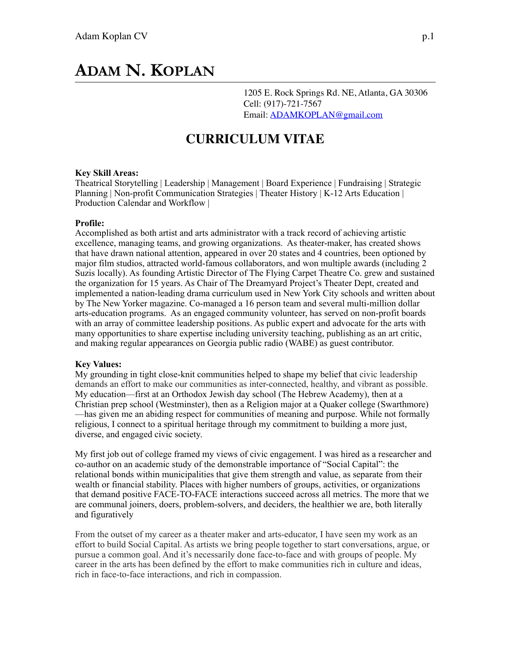# **ADAM N. KOPLAN**

1205 E. Rock Springs Rd. NE, Atlanta, GA 30306 Cell: (917)-721-7567 Email: [ADAMKOPLAN@gmail.com](mailto:ADAMKOPLAN@gmail.com)

# **CURRICULUM VITAE**

#### **Key Skill Areas:**

Theatrical Storytelling | Leadership | Management | Board Experience | Fundraising | Strategic Planning | Non-profit Communication Strategies | Theater History | K-12 Arts Education | Production Calendar and Workflow |

#### **Profile:**

Accomplished as both artist and arts administrator with a track record of achieving artistic excellence, managing teams, and growing organizations. As theater-maker, has created shows that have drawn national attention, appeared in over 20 states and 4 countries, been optioned by major film studios, attracted world-famous collaborators, and won multiple awards (including 2 Suzis locally). As founding Artistic Director of The Flying Carpet Theatre Co. grew and sustained the organization for 15 years. As Chair of The Dreamyard Project's Theater Dept, created and implemented a nation-leading drama curriculum used in New York City schools and written about by The New Yorker magazine. Co-managed a 16 person team and several multi-million dollar arts-education programs. As an engaged community volunteer, has served on non-profit boards with an array of committee leadership positions. As public expert and advocate for the arts with many opportunities to share expertise including university teaching, publishing as an art critic, and making regular appearances on Georgia public radio (WABE) as guest contributor.

#### **Key Values:**

My grounding in tight close-knit communities helped to shape my belief that civic leadership demands an effort to make our communities as inter-connected, healthy, and vibrant as possible. My education—first at an Orthodox Jewish day school (The Hebrew Academy), then at a Christian prep school (Westminster), then as a Religion major at a Quaker college (Swarthmore) —has given me an abiding respect for communities of meaning and purpose. While not formally religious, I connect to a spiritual heritage through my commitment to building a more just, diverse, and engaged civic society.

My first job out of college framed my views of civic engagement. I was hired as a researcher and co-author on an academic study of the demonstrable importance of "Social Capital": the relational bonds within municipalities that give them strength and value, as separate from their wealth or financial stability. Places with higher numbers of groups, activities, or organizations that demand positive FACE-TO-FACE interactions succeed across all metrics. The more that we are communal joiners, doers, problem-solvers, and deciders, the healthier we are, both literally and figuratively

From the outset of my career as a theater maker and arts-educator, I have seen my work as an effort to build Social Capital. As artists we bring people together to start conversations, argue, or pursue a common goal. And it's necessarily done face-to-face and with groups of people. My career in the arts has been defined by the effort to make communities rich in culture and ideas, rich in face-to-face interactions, and rich in compassion.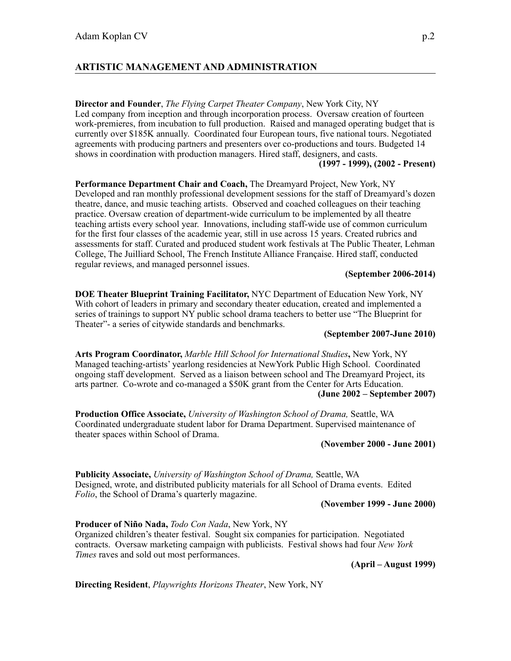# **ARTISTIC MANAGEMENT AND ADMINISTRATION**

**Director and Founder**, *The Flying Carpet Theater Company*, New York City, NY Led company from inception and through incorporation process. Oversaw creation of fourteen work-premieres, from incubation to full production. Raised and managed operating budget that is currently over \$185K annually. Coordinated four European tours, five national tours. Negotiated agreements with producing partners and presenters over co-productions and tours. Budgeted 14 shows in coordination with production managers. Hired staff, designers, and casts.

# **(1997 - 1999), (2002 - Present)**

**Performance Department Chair and Coach,** The Dreamyard Project, New York, NY Developed and ran monthly professional development sessions for the staff of Dreamyard's dozen theatre, dance, and music teaching artists. Observed and coached colleagues on their teaching practice. Oversaw creation of department-wide curriculum to be implemented by all theatre teaching artists every school year. Innovations, including staff-wide use of common curriculum for the first four classes of the academic year, still in use across 15 years. Created rubrics and assessments for staff. Curated and produced student work festivals at The Public Theater, Lehman College, The Juilliard School, The French Institute Alliance Française. Hired staff, conducted regular reviews, and managed personnel issues.

#### **(September 2006-2014)**

**DOE Theater Blueprint Training Facilitator,** NYC Department of Education New York, NY With cohort of leaders in primary and secondary theater education, created and implemented a series of trainings to support NY public school drama teachers to better use "The Blueprint for Theater"- a series of citywide standards and benchmarks.

#### **(September 2007-June 2010)**

**Arts Program Coordinator,** *Marble Hill School for International Studies***,** New York, NY Managed teaching-artists' yearlong residencies at NewYork Public High School. Coordinated ongoing staff development. Served as a liaison between school and The Dreamyard Project, its arts partner. Co-wrote and co-managed a \$50K grant from the Center for Arts Education. **(June 2002 – September 2007)** 

**Production Office Associate,** *University of Washington School of Drama,* Seattle, WA Coordinated undergraduate student labor for Drama Department. Supervised maintenance of theater spaces within School of Drama.

#### **(November 2000 - June 2001)**

**Publicity Associate,** *University of Washington School of Drama,* Seattle, WA Designed, wrote, and distributed publicity materials for all School of Drama events. Edited *Folio*, the School of Drama's quarterly magazine.

#### **(November 1999 - June 2000)**

**Producer of Niño Nada,** *Todo Con Nada*, New York, NY Organized children's theater festival. Sought six companies for participation. Negotiated contracts. Oversaw marketing campaign with publicists. Festival shows had four *New York Times* raves and sold out most performances.

**(April – August 1999)** 

**Directing Resident**, *Playwrights Horizons Theater*, New York, NY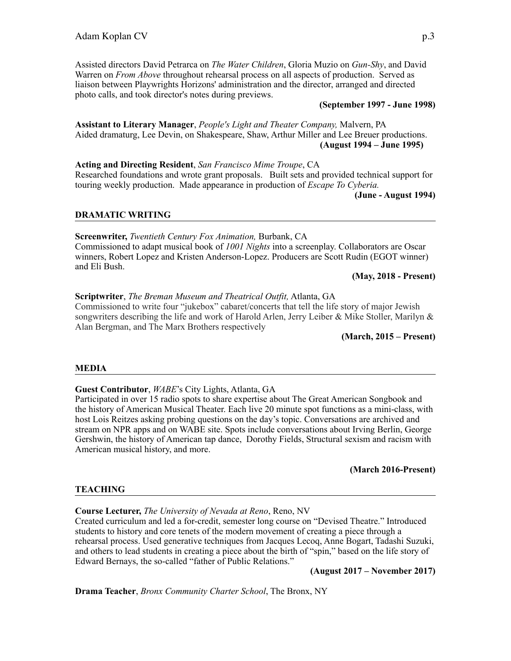Assisted directors David Petrarca on *The Water Children*, Gloria Muzio on *Gun-Shy*, and David Warren on *From Above* throughout rehearsal process on all aspects of production. Served as liaison between Playwrights Horizons' administration and the director, arranged and directed photo calls, and took director's notes during previews.

#### **(September 1997 - June 1998)**

**Assistant to Literary Manager**, *People's Light and Theater Company,* Malvern, PA Aided dramaturg, Lee Devin, on Shakespeare, Shaw, Arthur Miller and Lee Breuer productions.  **(August 1994 – June 1995)** 

**Acting and Directing Resident**, *San Francisco Mime Troupe*, CA Researched foundations and wrote grant proposals. Built sets and provided technical support for touring weekly production. Made appearance in production of *Escape To Cyberia.*

**(June - August 1994)** 

#### **DRAMATIC WRITING**

**Screenwriter,** *Twentieth Century Fox Animation,* Burbank, CA Commissioned to adapt musical book of *1001 Nights* into a screenplay. Collaborators are Oscar winners, Robert Lopez and Kristen Anderson-Lopez. Producers are Scott Rudin (EGOT winner) and Eli Bush.

**(May, 2018 - Present)** 

#### **Scriptwriter**, *The Breman Museum and Theatrical Outfit,* Atlanta, GA

Commissioned to write four "jukebox" cabaret/concerts that tell the life story of major Jewish songwriters describing the life and work of Harold Arlen, Jerry Leiber & Mike Stoller, Marilyn  $\&$ Alan Bergman, and The Marx Brothers respectively

**(March, 2015 – Present)** 

#### **MEDIA**

#### **Guest Contributor**, *WABE*'s City Lights, Atlanta, GA

Participated in over 15 radio spots to share expertise about The Great American Songbook and the history of American Musical Theater. Each live 20 minute spot functions as a mini-class, with host Lois Reitzes asking probing questions on the day's topic. Conversations are archived and stream on NPR apps and on WABE site. Spots include conversations about Irving Berlin, George Gershwin, the history of American tap dance, Dorothy Fields, Structural sexism and racism with American musical history, and more.

**(March 2016-Present)** 

#### **TEACHING**

#### **Course Lecturer,** *The University of Nevada at Reno*, Reno, NV

Created curriculum and led a for-credit, semester long course on "Devised Theatre." Introduced students to history and core tenets of the modern movement of creating a piece through a rehearsal process. Used generative techniques from Jacques Lecoq, Anne Bogart, Tadashi Suzuki, and others to lead students in creating a piece about the birth of "spin," based on the life story of Edward Bernays, the so-called "father of Public Relations."

**(August 2017 – November 2017)** 

**Drama Teacher**, *Bronx Community Charter School*, The Bronx, NY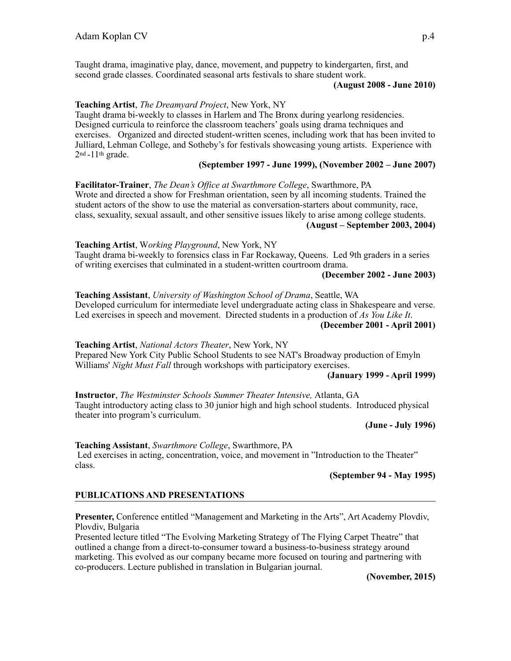Taught drama, imaginative play, dance, movement, and puppetry to kindergarten, first, and second grade classes. Coordinated seasonal arts festivals to share student work.

#### **(August 2008 - June 2010)**

#### **Teaching Artist**, *The Dreamyard Project*, New York, NY

Taught drama bi-weekly to classes in Harlem and The Bronx during yearlong residencies. Designed curricula to reinforce the classroom teachers' goals using drama techniques and exercises. Organized and directed student-written scenes, including work that has been invited to Julliard, Lehman College, and Sotheby's for festivals showcasing young artists. Experience with  $2<sup>nd</sup> - 11<sup>th</sup>$  grade.

# **(September 1997 - June 1999), (November 2002 – June 2007)**

**Facilitator-Trainer**, *The Dean's Office at Swarthmore College*, Swarthmore, PA Wrote and directed a show for Freshman orientation, seen by all incoming students. Trained the student actors of the show to use the material as conversation-starters about community, race, class, sexuality, sexual assault, and other sensitive issues likely to arise among college students.  **(August – September 2003, 2004)** 

**Teaching Artist**, W*orking Playground*, New York, NY Taught drama bi-weekly to forensics class in Far Rockaway, Queens. Led 9th graders in a series of writing exercises that culminated in a student-written courtroom drama.

#### **(December 2002 - June 2003)**

**Teaching Assistant**, *University of Washington School of Drama*, Seattle, WA Developed curriculum for intermediate level undergraduate acting class in Shakespeare and verse. Led exercises in speech and movement. Directed students in a production of *As You Like It*. **(December 2001 - April 2001)** 

**Teaching Artist**, *National Actors Theater*, New York, NY Prepared New York City Public School Students to see NAT's Broadway production of Emyln Williams' *Night Must Fall* through workshops with participatory exercises.

#### **(January 1999 - April 1999)**

**Instructor**, *The Westminster Schools Summer Theater Intensive,* Atlanta, GA Taught introductory acting class to 30 junior high and high school students. Introduced physical theater into program's curriculum.

**(June - July 1996)** 

**Teaching Assistant**, *Swarthmore College*, Swarthmore, PA Led exercises in acting, concentration, voice, and movement in "Introduction to the Theater" class.

**(September 94 - May 1995)** 

#### **PUBLICATIONS AND PRESENTATIONS**

**Presenter,** Conference entitled "Management and Marketing in the Arts", Art Academy Plovdiv, Plovdiv, Bulgaria

Presented lecture titled "The Evolving Marketing Strategy of The Flying Carpet Theatre" that outlined a change from a direct-to-consumer toward a business-to-business strategy around marketing. This evolved as our company became more focused on touring and partnering with co-producers. Lecture published in translation in Bulgarian journal.

**(November, 2015)**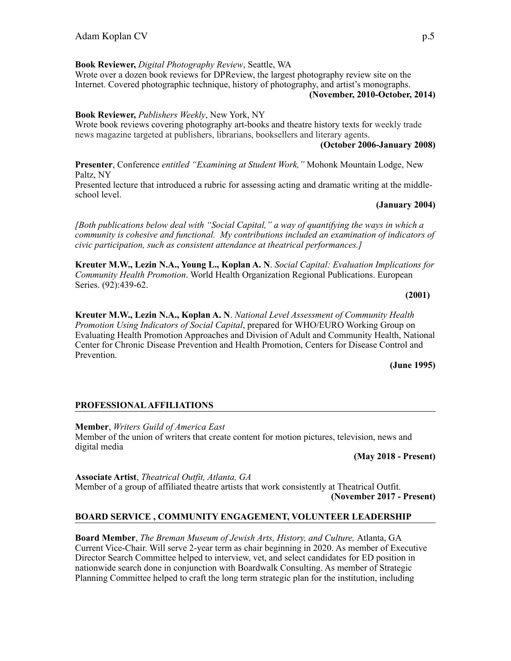**Book Reviewer,** *Digital Photography Review*, Seattle, WA Wrote over a dozen book reviews for DPReview, the largest photography review site on the Internet. Covered photographic technique, history of photography, and artist's monographs. **(November, 2010-October, 2014)** 

## **Book Reviewer,** *Publishers Weekly*, New York, NY

Wrote book reviews covering photography art-books and theatre history texts for weekly trade news magazine targeted at publishers, librarians, booksellers and literary agents.

**(October 2006-January 2008)** 

**Presenter**, Conference *entitled "Examining at Student Work,"* Mohonk Mountain Lodge, New Paltz, NY

Presented lecture that introduced a rubric for assessing acting and dramatic writing at the middleschool level.

#### **(January 2004)**

*[Both publications below deal with "Social Capital," a way of quantifying the ways in which a community is cohesive and functional. My contributions included an examination of indicators of civic participation, such as consistent attendance at theatrical performances.]* 

**Kreuter M.W., Lezin N.A., Young L., Koplan A. N**. *Social Capital: Evaluation Implications for Community Health Promotion*. World Health Organization Regional Publications. European Series. (92):439-62.

#### **(2001)**

**Kreuter M.W., Lezin N.A., Koplan A. N**. *National Level Assessment of Community Health Promotion Using Indicators of Social Capital*, prepared for WHO/EURO Working Group on Evaluating Health Promotion Approaches and Division of Adult and Community Health, National Center for Chronic Disease Prevention and Health Promotion, Centers for Disease Control and Prevention.

**(June 1995)** 

#### **PROFESSIONAL AFFILIATIONS**

**Member**, *Writers Guild of America East* Member of the union of writers that create content for motion pictures, television, news and digital media

 **(May 2018 - Present)** 

**Associate Artist**, *Theatrical Outfit, Atlanta, GA* Member of a group of affiliated theatre artists that work consistently at Theatrical Outfit. **(November 2017 - Present)** 

# **BOARD SERVICE , COMMUNITY ENGAGEMENT, VOLUNTEER LEADERSHIP**

**Board Member**, *The Breman Museum of Jewish Arts, History, and Culture,* Atlanta, GA Current Vice-Chair. Will serve 2-year term as chair beginning in 2020. As member of Executive Director Search Committee helped to interview, vet, and select candidates for ED position in nationwide search done in conjunction with Boardwalk Consulting. As member of Strategic Planning Committee helped to craft the long term strategic plan for the institution, including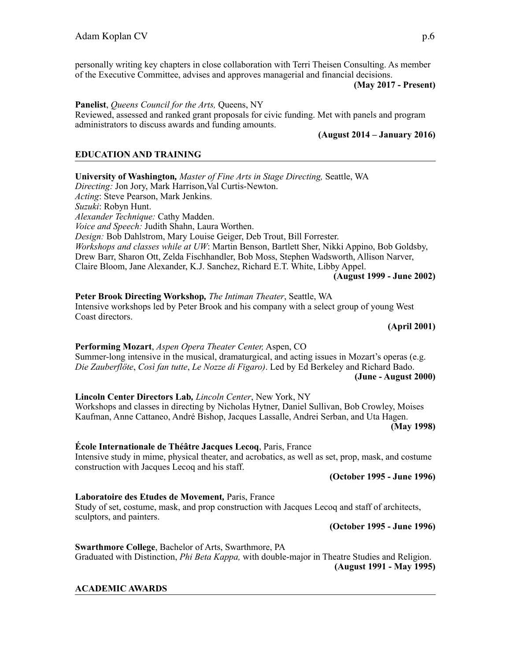personally writing key chapters in close collaboration with Terri Theisen Consulting. As member of the Executive Committee, advises and approves managerial and financial decisions.

 **(May 2017 - Present)** 

**Panelist**, *Queens Council for the Arts,* Queens, NY Reviewed, assessed and ranked grant proposals for civic funding. Met with panels and program administrators to discuss awards and funding amounts.

#### **(August 2014 – January 2016)**

## **EDUCATION AND TRAINING**

**University of Washington***, Master of Fine Arts in Stage Directing,* Seattle, WA *Directing:* Jon Jory, Mark Harrison,Val Curtis-Newton. *Acting*: Steve Pearson, Mark Jenkins. *Suzuki*: Robyn Hunt. *Alexander Technique:* Cathy Madden. *Voice and Speech:* Judith Shahn, Laura Worthen. *Design:* Bob Dahlstrom, Mary Louise Geiger, Deb Trout, Bill Forrester. *Workshops and classes while at UW*: Martin Benson, Bartlett Sher, Nikki Appino, Bob Goldsby, Drew Barr, Sharon Ott, Zelda Fischhandler, Bob Moss, Stephen Wadsworth, Allison Narver, Claire Bloom, Jane Alexander, K.J. Sanchez, Richard E.T. White, Libby Appel.

#### **(August 1999 - June 2002)**

**Peter Brook Directing Workshop***, The Intiman Theater*, Seattle, WA Intensive workshops led by Peter Brook and his company with a select group of young West Coast directors.

**(April 2001)** 

**Performing Mozart**, *Aspen Opera Theater Center,* Aspen, CO Summer-long intensive in the musical, dramaturgical, and acting issues in Mozart's operas (e.g. *Die Zauberflöte*, *Così fan tutte*, *Le Nozze di Figaro)*. Led by Ed Berkeley and Richard Bado. **(June - August 2000)** 

**Lincoln Center Directors Lab***, Lincoln Center*, New York, NY Workshops and classes in directing by Nicholas Hytner, Daniel Sullivan, Bob Crowley, Moises Kaufman, Anne Cattaneo, André Bishop, Jacques Lassalle, Andrei Serban, and Uta Hagen. **(May 1998)** 

#### **École Internationale de Théâtre Jacques Lecoq**, Paris, France

Intensive study in mime, physical theater, and acrobatics, as well as set, prop, mask, and costume construction with Jacques Lecoq and his staff.

#### **(October 1995 - June 1996)**

#### **Laboratoire des Etudes de Movement***,* Paris, France

Study of set, costume, mask, and prop construction with Jacques Lecoq and staff of architects, sculptors, and painters.

#### **(October 1995 - June 1996)**

**Swarthmore College**, Bachelor of Arts, Swarthmore, PA Graduated with Distinction, *Phi Beta Kappa,* with double-major in Theatre Studies and Religion. **(August 1991 - May 1995)** 

#### **ACADEMIC AWARDS**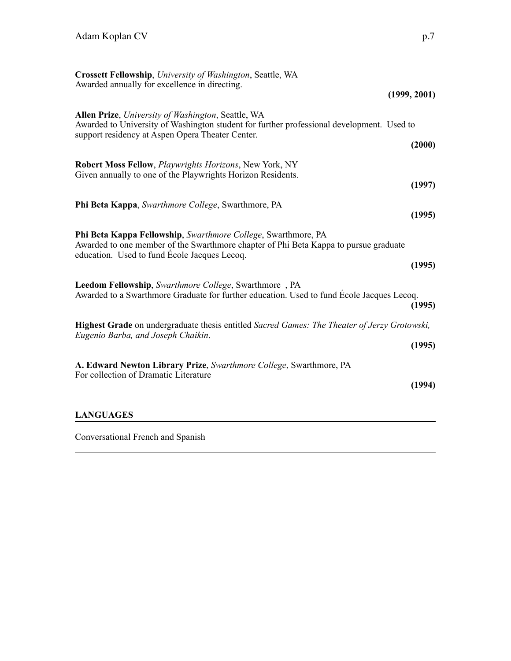| Crossett Fellowship, University of Washington, Seattle, WA                                                                                                                                                      |
|-----------------------------------------------------------------------------------------------------------------------------------------------------------------------------------------------------------------|
| Awarded annually for excellence in directing.<br>(1999, 2001)                                                                                                                                                   |
| Allen Prize, University of Washington, Seattle, WA<br>Awarded to University of Washington student for further professional development. Used to<br>support residency at Aspen Opera Theater Center.<br>(2000)   |
| Robert Moss Fellow, Playwrights Horizons, New York, NY<br>Given annually to one of the Playwrights Horizon Residents.<br>(1997)                                                                                 |
| Phi Beta Kappa, Swarthmore College, Swarthmore, PA<br>(1995)                                                                                                                                                    |
| Phi Beta Kappa Fellowship, Swarthmore College, Swarthmore, PA<br>Awarded to one member of the Swarthmore chapter of Phi Beta Kappa to pursue graduate<br>education. Used to fund Ecole Jacques Lecoq.<br>(1995) |
| Leedom Fellowship, Swarthmore College, Swarthmore, PA<br>Awarded to a Swarthmore Graduate for further education. Used to fund Ecole Jacques Lecoq.<br>(1995)                                                    |
| <b>Highest Grade</b> on undergraduate thesis entitled Sacred Games: The Theater of Jerzy Grotowski,<br>Eugenio Barba, and Joseph Chaikin.<br>(1995)                                                             |
| A. Edward Newton Library Prize, Swarthmore College, Swarthmore, PA<br>For collection of Dramatic Literature<br>(1994)                                                                                           |
| <b>LANGUAGES</b>                                                                                                                                                                                                |

Conversational French and Spanish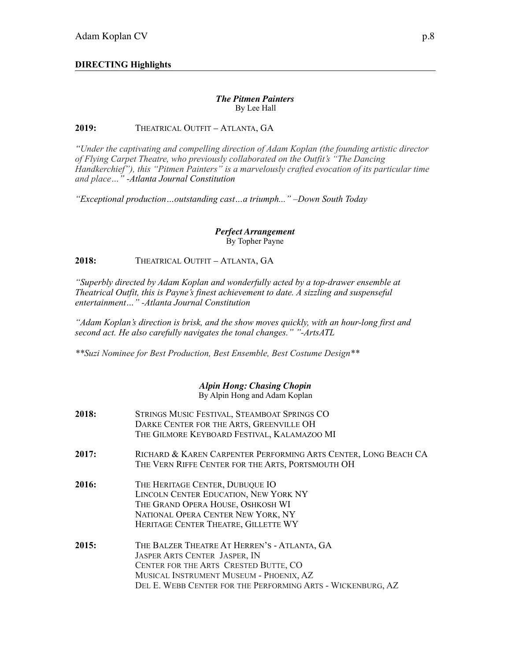# **DIRECTING Highlights**

#### *The Pitmen Painters* By Lee Hall

#### **2019:** THEATRICAL OUTFIT – ATLANTA, GA

*"Under the captivating and compelling direction of Adam Koplan (the founding artistic director of Flying Carpet Theatre, who previously collaborated on the Outfit's "The Dancing Handkerchief"), this "Pitmen Painters" is a marvelously crafted evocation of its particular time and place…" -Atlanta Journal Constitution* 

*"Exceptional production…outstanding cast…a triumph..." –Down South Today*

#### *Perfect Arrangement* By Topher Payne

**2018:** THEATRICAL OUTFIT – ATLANTA, GA

*"Superbly directed by Adam Koplan and wonderfully acted by a top-drawer ensemble at Theatrical Outfit, this is Payne's finest achievement to date. A sizzling and suspenseful entertainment…" -Atlanta Journal Constitution* 

*"Adam Koplan's direction is brisk, and the show moves quickly, with an hour-long first and second act. He also carefully navigates the tonal changes." "-ArtsATL* 

*\*\*Suzi Nominee for Best Production, Best Ensemble, Best Costume Design\*\**

#### *Alpin Hong: Chasing Chopin* By Alpin Hong and Adam Koplan

| 2018: | STRINGS MUSIC FESTIVAL, STEAMBOAT SPRINGS CO<br>DARKE CENTER FOR THE ARTS, GREENVILLE OH<br>THE GILMORE KEYBOARD FESTIVAL, KALAMAZOO MI                                                                                                 |
|-------|-----------------------------------------------------------------------------------------------------------------------------------------------------------------------------------------------------------------------------------------|
| 2017: | RICHARD & KAREN CARPENTER PERFORMING ARTS CENTER, LONG BEACH CA<br>THE VERN RIFFE CENTER FOR THE ARTS, PORTSMOUTH OH                                                                                                                    |
| 2016: | THE HERITAGE CENTER, DUBUQUE IO<br>LINCOLN CENTER EDUCATION, NEW YORK NY<br>THE GRAND OPERA HOUSE, OSHKOSH WI<br>NATIONAL OPERA CENTER NEW YORK, NY<br>HERITAGE CENTER THEATRE, GILLETTE WY                                             |
| 2015: | THE BALZER THEATRE AT HERREN'S - ATLANTA, GA<br><b>JASPER ARTS CENTER JASPER, IN</b><br>CENTER FOR THE ARTS CRESTED BUTTE, CO<br>MUSICAL INSTRUMENT MUSEUM - PHOENIX, AZ<br>DEL E. WEBB CENTER FOR THE PERFORMING ARTS - WICKENBURG, AZ |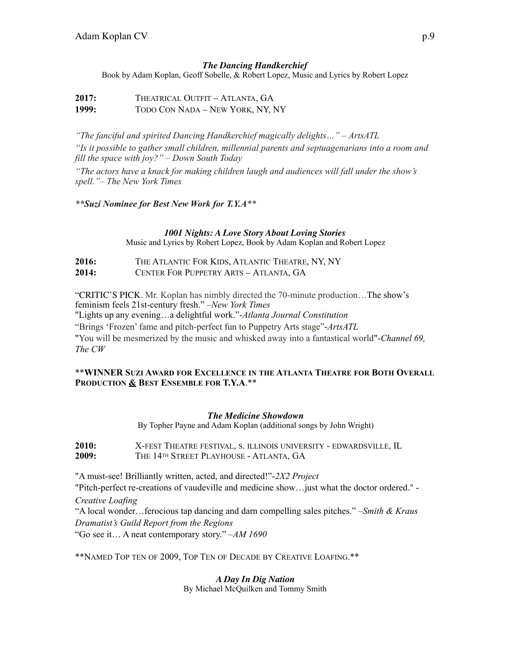# *The Dancing Handkerchief*

Book by Adam Koplan, Geoff Sobelle, & Robert Lopez, Music and Lyrics by Robert Lopez

2017: THEATRICAL OUTFIT – ATLANTA, GA **1999:** TODO CON NADA – NEW YORK, NY, NY

*"The fanciful and spirited Dancing Handkerchief magically delights…" – ArtsATL "Is it possible to gather small children, millennial parents and septuagenarians into a room and fill the space with joy?" – Down South Today*

*"The actors have a knack for making children laugh and audiences will fall under the show's spell."– The New York Times*

*\*\*Suzi Nominee for Best New Work for T.Y.A\*\** 

#### *1001 Nights: A Love Story About Loving Stories*

Music and Lyrics by Robert Lopez, Book by Adam Koplan and Robert Lopez

**2016:** THE ATLANTIC FOR KIDS, ATLANTIC THEATRE, NY, NY **2014:** CENTER FOR PUPPETRY ARTS – ATLANTA, GA

"CRITIC'S PICK. Mr. Koplan has nimbly directed the 70-minute production…The show's feminism feels 21st-century fresh." –*New York Times*

"Lights up any evening…a delightful work."-*Atlanta Journal Constitution* 

"Brings 'Frozen' fame and pitch-perfect fun to Puppetry Arts stage"-*ArtsATL*

"You will be mesmerized by the music and whisked away into a fantastical world"-*Channel 69, The CW* 

#### \*\***WINNER SUZI AWARD FOR EXCELLENCE IN THE ATLANTA THEATRE FOR BOTH OVERALL PRODUCTION & BEST ENSEMBLE FOR T.Y.A**.\*\*

#### *The Medicine Showdown*

By Topher Payne and Adam Koplan (additional songs by John Wright)

**2010:** X-FEST THEATRE FESTIVAL, S. ILLINOIS UNIVERSITY - EDWARDSVILLE, IL<br>2009: THE 14<sup>TH</sup> STREET PLAYHOUSE - ATLANTA. GA **2009:** THE 14TH STREET PLAYHOUSE - ATLANTA, GA

"A must-see! Brilliantly written, acted, and directed!"-*2X2 Project*

"Pitch-perfect re-creations of vaudeville and medicine show…just what the doctor ordered." - *Creative Loafing* 

"A local wonder…ferocious tap dancing and darn compelling sales pitches." –*Smith & Kraus Dramatist's Guild Report from the Regions*

"Go see it… A neat contemporary story." –*AM 1690* 

\*\*NAMED TOP TEN OF 2009, TOP TEN OF DECADE BY CREATIVE LOAFING.\*\*

*A Day In Dig Nation* By Michael McQuilken and Tommy Smith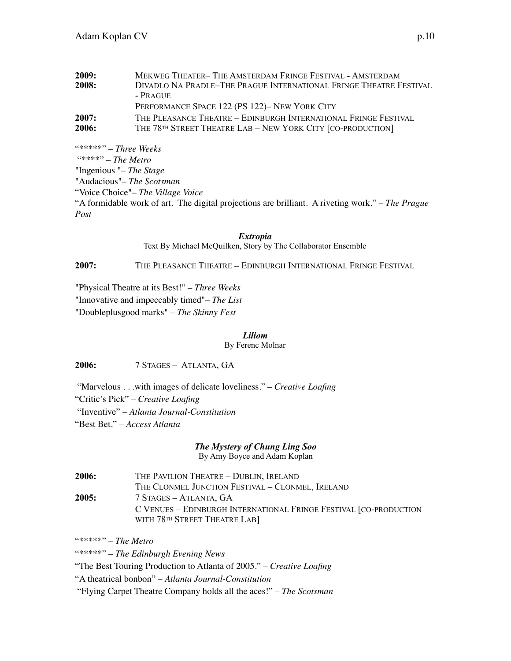| 2009: | MEKWEG THEATER-THE AMSTERDAM FRINGE FESTIVAL - AMSTERDAM                |
|-------|-------------------------------------------------------------------------|
| 2008: | DIVADLO NA PRADLE-THE PRAGUE INTERNATIONAL FRINGE THEATRE FESTIVAL      |
|       | $-$ Prague                                                              |
|       | PERFORMANCE SPACE 122 (PS 122)– NEW YORK CITY                           |
| 2007: | THE PLEASANCE THEATRE – EDINBURGH INTERNATIONAL FRINGE FESTIVAL         |
| 2006: | THE 78 <sup>TH</sup> STREET THEATRE LAB - NEW YORK CITY [CO-PRODUCTION] |

"\*\*\*\*\*" – *Three Weeks* "\*\*\*\*" – *The Metro* "Ingenious "– *The Stage* "Audacious"– *The Scotsman* "Voice Choice"– *The Village Voice* "A formidable work of art. The digital projections are brilliant. A riveting work." – *The Prague Post*

> *Extropia* Text By Michael McQuilken, Story by The Collaborator Ensemble

**2007:** THE PLEASANCE THEATRE – EDINBURGH INTERNATIONAL FRINGE FESTIVAL

"Physical Theatre at its Best!" – *Three Weeks* "Innovative and impeccably timed"– *The List* "Doubleplusgood marks" – *The Skinny Fest*

*Liliom* 

By Ferenc Molnar

**2006:** 7 STAGES – ATLANTA, GA

 "Marvelous . . .with images of delicate loveliness." – *Creative Loafing* "Critic's Pick" – *Creative Loafing* "Inventive" – *Atlanta Journal-Constitution* "Best Bet." – *Access Atlanta* 

# *The Mystery of Chung Ling Soo*

By Amy Boyce and Adam Koplan

| 2006: | THE PAVILION THEATRE - DUBLIN, IRELAND                            |
|-------|-------------------------------------------------------------------|
|       | THE CLONMEL JUNCTION FESTIVAL - CLONMEL, IRELAND                  |
| 2005: | 7 STAGES – ATLANTA, GA                                            |
|       | C VENUES - EDINBURGH INTERNATIONAL FRINGE FESTIVAL [CO-PRODUCTION |
|       | WITH 78TH STREET THEATRE LAB]                                     |

"\*\*\*\*\*" – *The Metro*

"\*\*\*\*\*" – *The Edinburgh Evening News*

"The Best Touring Production to Atlanta of 2005." – *Creative Loafing*

"A theatrical bonbon" – *Atlanta Journal-Constitution*

"Flying Carpet Theatre Company holds all the aces!" – *The Scotsman*